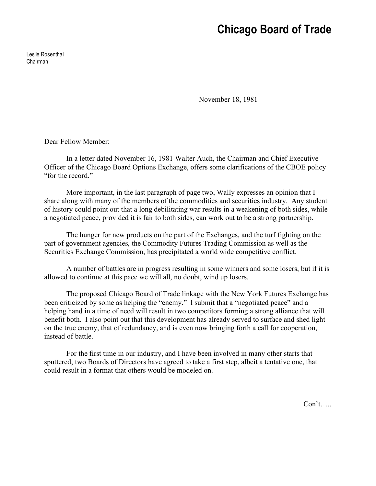## **Chicago Board of Trade**

Leslie Rosenthal Chairman

November 18, 1981

Dear Fellow Member:

In a letter dated November 16, 1981 Walter Auch, the Chairman and Chief Executive Officer of the Chicago Board Options Exchange, offers some clarifications of the CBOE policy "for the record."

More important, in the last paragraph of page two, Wally expresses an opinion that I share along with many of the members of the commodities and securities industry. Any student of history could point out that a long debilitating war results in a weakening of both sides, while a negotiated peace, provided it is fair to both sides, can work out to be a strong partnership.

The hunger for new products on the part of the Exchanges, and the turf fighting on the part of government agencies, the Commodity Futures Trading Commission as well as the Securities Exchange Commission, has precipitated a world wide competitive conflict.

A number of battles are in progress resulting in some winners and some losers, but if it is allowed to continue at this pace we will all, no doubt, wind up losers.

The proposed Chicago Board of Trade linkage with the New York Futures Exchange has been criticized by some as helping the "enemy." I submit that a "negotiated peace" and a helping hand in a time of need will result in two competitors forming a strong alliance that will benefit both. I also point out that this development has already served to surface and shed light on the true enemy, that of redundancy, and is even now bringing forth a call for cooperation, instead of battle.

For the first time in our industry, and I have been involved in many other starts that sputtered, two Boards of Directors have agreed to take a first step, albeit a tentative one, that could result in a format that others would be modeled on.

Con't…..